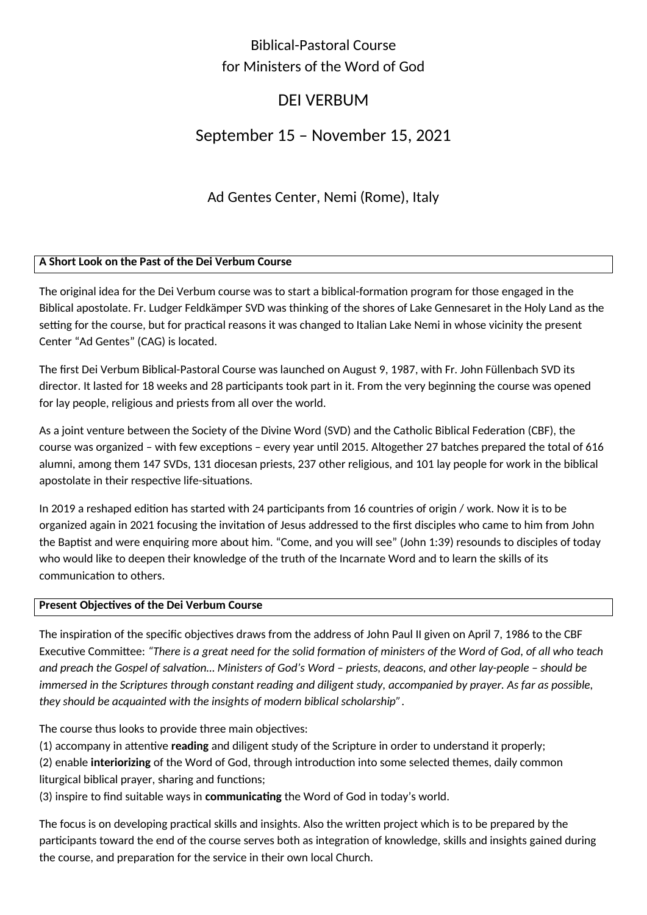## Biblical-Pastoral Course for Ministers of the Word of God

# DEI VERBUM

## September 15 – November 15, 2021

Ad Gentes Center, Nemi (Rome), Italy

## **A Short Look on the Past of the Dei Verbum Course**

The original idea for the Dei Verbum course was to start a biblical-formation program for those engaged in the Biblical apostolate. Fr. Ludger Feldkämper SVD was thinking of the shores of Lake Gennesaret in the Holy Land as the setting for the course, but for practical reasons it was changed to Italian Lake Nemi in whose vicinity the present Center "Ad Gentes" (CAG) is located.

The first Dei Verbum Biblical-Pastoral Course was launched on August 9, 1987, with Fr. John Füllenbach SVD its director. It lasted for 18 weeks and 28 participants took part in it. From the very beginning the course was opened for lay people, religious and priests from all over the world.

As a joint venture between the Society of the Divine Word (SVD) and the Catholic Biblical Federation (CBF), the course was organized – with few exceptions – every year until 2015. Altogether 27 batches prepared the total of 616 alumni, among them 147 SVDs, 131 diocesan priests, 237 other religious, and 101 lay people for work in the biblical apostolate in their respective life-situations.

In 2019 a reshaped edition has started with 24 participants from 16 countries of origin / work. Now it is to be organized again in 2021 focusing the invitation of Jesus addressed to the first disciples who came to him from John the Baptist and were enquiring more about him. "Come, and you will see" (John 1:39) resounds to disciples of today who would like to deepen their knowledge of the truth of the Incarnate Word and to learn the skills of its communication to others.

## **Present Objectives of the Dei Verbum Course**

The inspiration of the specific objectives draws from the address of John Paul II given on April 7, 1986 to the CBF Executive Committee: *"There is a great need for the solid formation of ministers of the Word of God, of all who teach and preach the Gospel of salvation… Ministers of God's Word – priests, deacons, and other lay-people – should be*  immersed in the Scriptures through constant reading and diligent study, accompanied by prayer. As far as possible, *they should be acquainted with the insights of modern biblical scholarship"*.

The course thus looks to provide three main objectives:

(1) accompany in attentive **reading** and diligent study of the Scripture in order to understand it properly;

(2) enable **interiorizing** of the Word of God, through introduction into some selected themes, daily common liturgical biblical prayer, sharing and functions;

(3) inspire to find suitable ways in **communicating** the Word of God in today's world.

The focus is on developing practical skills and insights. Also the written project which is to be prepared by the participants toward the end of the course serves both as integration of knowledge, skills and insights gained during the course, and preparation for the service in their own local Church.